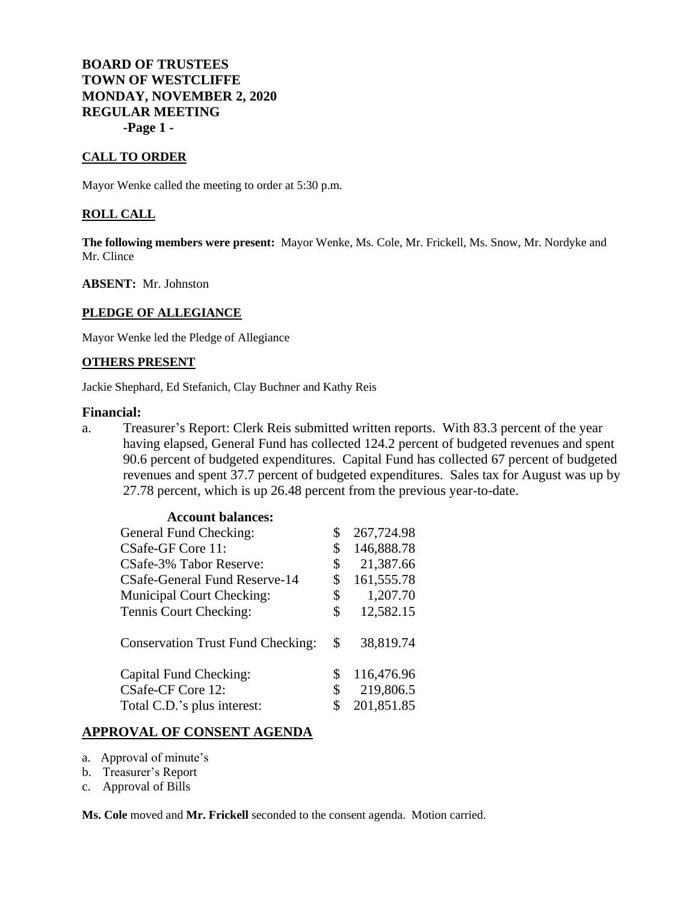## **BOARD OF TRUSTEES TOWN OF WESTCLIFFE MONDAY, NOVEMBER 2, 2020 REGULAR MEETING -Page 1 -**

### **CALL TO ORDER**

Mayor Wenke called the meeting to order at 5:30 p.m.

#### **ROLL CALL**

**The following members were present:** Mayor Wenke, Ms. Cole, Mr. Frickell, Ms. Snow, Mr. Nordyke and Mr. Clince

**ABSENT:** Mr. Johnston

#### **PLEDGE OF ALLEGIANCE**

Mayor Wenke led the Pledge of Allegiance

#### **OTHERS PRESENT**

Jackie Shephard, Ed Stefanich, Clay Buchner and Kathy Reis

#### **Financial:**

a. Treasurer's Report: Clerk Reis submitted written reports. With 83.3 percent of the year having elapsed, General Fund has collected 124.2 percent of budgeted revenues and spent 90.6 percent of budgeted expenditures. Capital Fund has collected 67 percent of budgeted revenues and spent 37.7 percent of budgeted expenditures. Sales tax for August was up by 27.78 percent, which is up 26.48 percent from the previous year-to-date.

| <b>Account balances:</b>                 |                  |
|------------------------------------------|------------------|
| General Fund Checking:                   | \$<br>267,724.98 |
| CSafe-GF Core 11:                        | \$<br>146,888.78 |
| CSafe-3% Tabor Reserve:                  | \$<br>21,387.66  |
| CSafe-General Fund Reserve-14            | \$<br>161,555.78 |
| <b>Municipal Court Checking:</b>         | \$<br>1,207.70   |
| Tennis Court Checking:                   | \$<br>12,582.15  |
| <b>Conservation Trust Fund Checking:</b> | \$<br>38,819.74  |
| Capital Fund Checking:                   | \$<br>116,476.96 |
| CSafe-CF Core 12:                        | \$<br>219,806.5  |
| Total C.D.'s plus interest:              | \$<br>201,851.85 |

### **APPROVAL OF CONSENT AGENDA**

- a. Approval of minute's
- b. Treasurer's Report
- c. Approval of Bills

**Ms. Cole** moved and **Mr. Frickell** seconded to the consent agenda. Motion carried.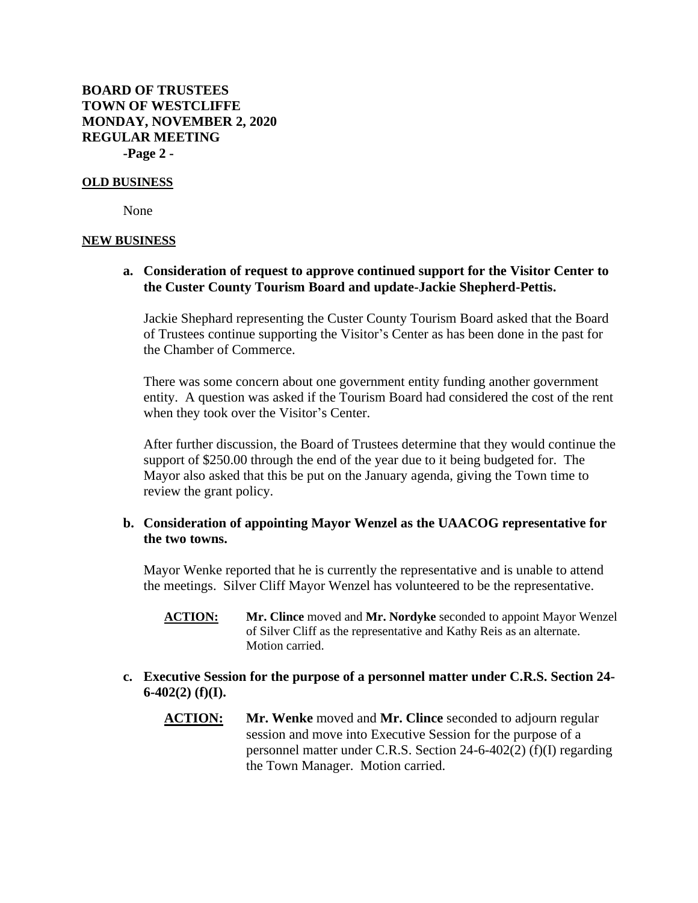**BOARD OF TRUSTEES TOWN OF WESTCLIFFE MONDAY, NOVEMBER 2, 2020 REGULAR MEETING -Page 2 -**

#### **OLD BUSINESS**

None

#### **NEW BUSINESS**

## **a. Consideration of request to approve continued support for the Visitor Center to the Custer County Tourism Board and update-Jackie Shepherd-Pettis.**

Jackie Shephard representing the Custer County Tourism Board asked that the Board of Trustees continue supporting the Visitor's Center as has been done in the past for the Chamber of Commerce.

There was some concern about one government entity funding another government entity. A question was asked if the Tourism Board had considered the cost of the rent when they took over the Visitor's Center.

After further discussion, the Board of Trustees determine that they would continue the support of \$250.00 through the end of the year due to it being budgeted for. The Mayor also asked that this be put on the January agenda, giving the Town time to review the grant policy.

## **b. Consideration of appointing Mayor Wenzel as the UAACOG representative for the two towns.**

Mayor Wenke reported that he is currently the representative and is unable to attend the meetings. Silver Cliff Mayor Wenzel has volunteered to be the representative.

- **ACTION: Mr. Clince** moved and **Mr. Nordyke** seconded to appoint Mayor Wenzel of Silver Cliff as the representative and Kathy Reis as an alternate. Motion carried.
- **c. Executive Session for the purpose of a personnel matter under C.R.S. Section 24- 6-402(2) (f)(I).**
	- **ACTION: Mr. Wenke** moved and **Mr. Clince** seconded to adjourn regular session and move into Executive Session for the purpose of a personnel matter under C.R.S. Section 24-6-402(2) (f)(I) regarding the Town Manager. Motion carried.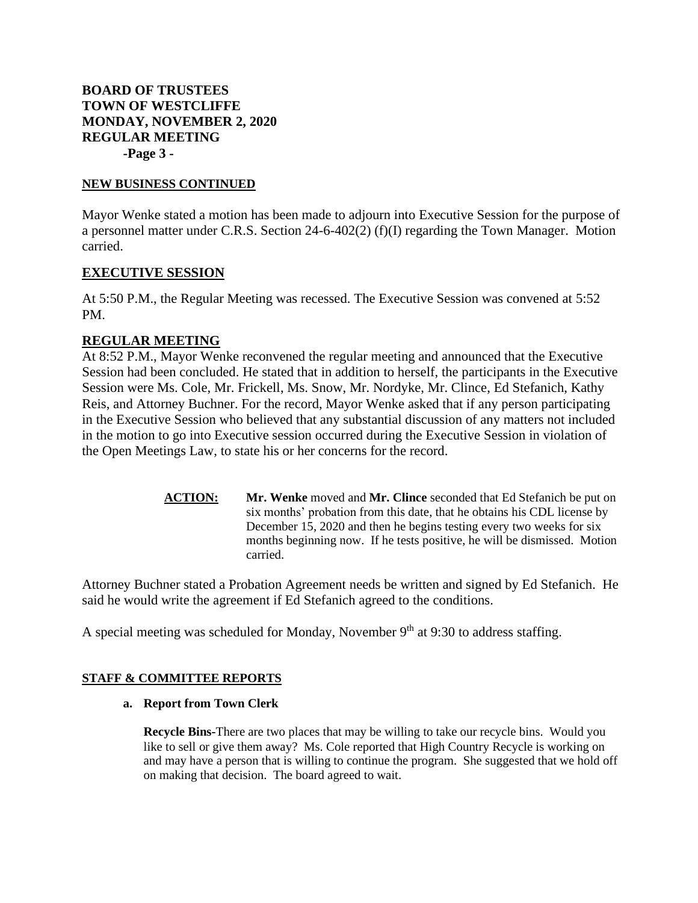# **BOARD OF TRUSTEES TOWN OF WESTCLIFFE MONDAY, NOVEMBER 2, 2020 REGULAR MEETING -Page 3 -**

#### **NEW BUSINESS CONTINUED**

Mayor Wenke stated a motion has been made to adjourn into Executive Session for the purpose of a personnel matter under C.R.S. Section 24-6-402(2) (f)(I) regarding the Town Manager. Motion carried.

## **EXECUTIVE SESSION**

At 5:50 P.M., the Regular Meeting was recessed. The Executive Session was convened at 5:52 PM.

## **REGULAR MEETING**

At 8:52 P.M., Mayor Wenke reconvened the regular meeting and announced that the Executive Session had been concluded. He stated that in addition to herself, the participants in the Executive Session were Ms. Cole, Mr. Frickell, Ms. Snow, Mr. Nordyke, Mr. Clince, Ed Stefanich, Kathy Reis, and Attorney Buchner. For the record, Mayor Wenke asked that if any person participating in the Executive Session who believed that any substantial discussion of any matters not included in the motion to go into Executive session occurred during the Executive Session in violation of the Open Meetings Law, to state his or her concerns for the record.

> **ACTION: Mr. Wenke** moved and **Mr. Clince** seconded that Ed Stefanich be put on six months' probation from this date, that he obtains his CDL license by December 15, 2020 and then he begins testing every two weeks for six months beginning now. If he tests positive, he will be dismissed. Motion carried.

Attorney Buchner stated a Probation Agreement needs be written and signed by Ed Stefanich. He said he would write the agreement if Ed Stefanich agreed to the conditions.

A special meeting was scheduled for Monday, November  $9<sup>th</sup>$  at 9:30 to address staffing.

#### **STAFF & COMMITTEE REPORTS**

**a. Report from Town Clerk** 

**Recycle Bins-**There are two places that may be willing to take our recycle bins. Would you like to sell or give them away? Ms. Cole reported that High Country Recycle is working on and may have a person that is willing to continue the program. She suggested that we hold off on making that decision. The board agreed to wait.